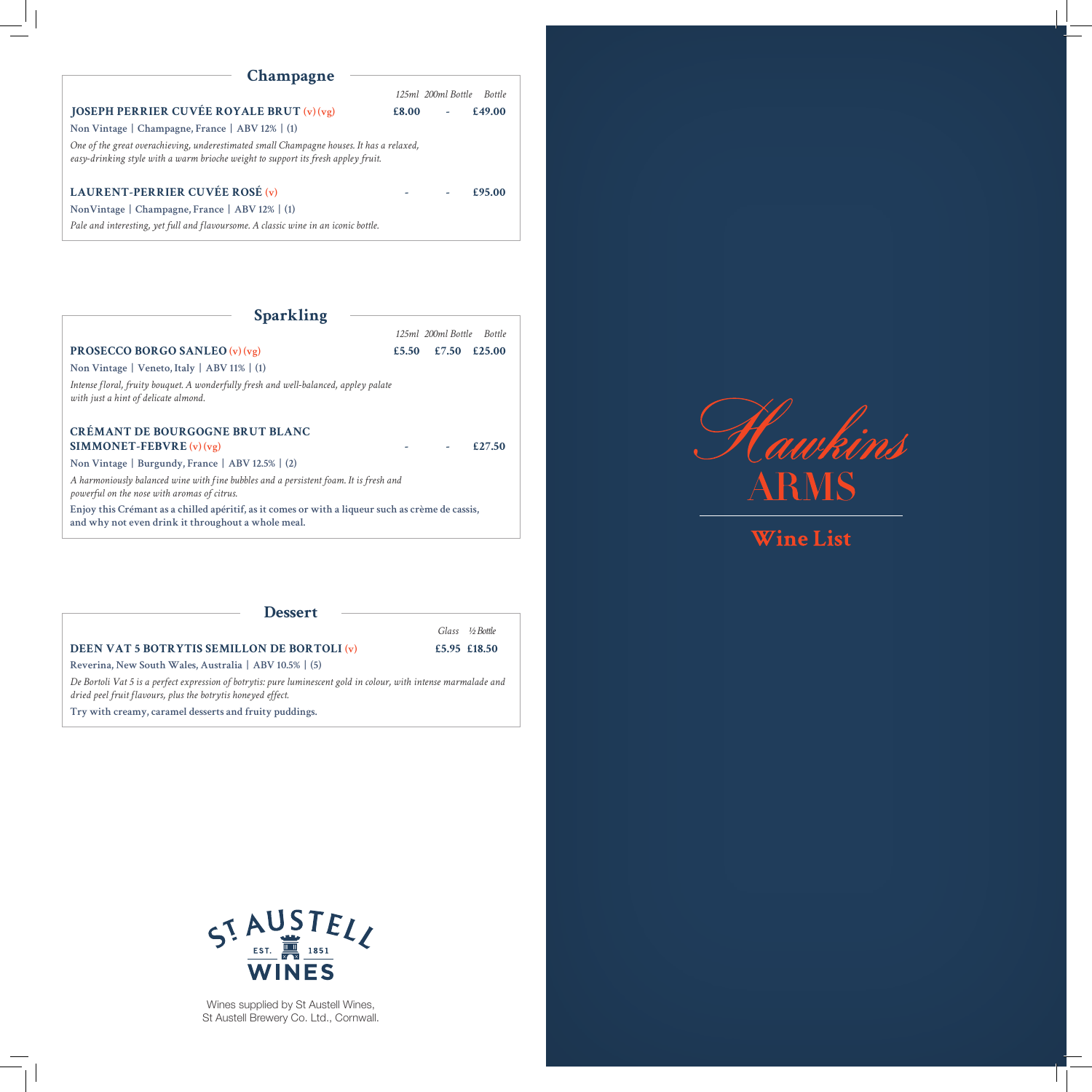## **Champagne**

|                                                                                                                                                                               |       | 125ml 200ml Bottle Bottle |        |
|-------------------------------------------------------------------------------------------------------------------------------------------------------------------------------|-------|---------------------------|--------|
| <b>JOSEPH PERRIER CUVÉE ROYALE BRUT</b> $(v)(vg)$                                                                                                                             | £8.00 | $\omega_{\rm{max}}$       | £49.00 |
| Non Vintage   Champagne, France   ABV 12%   (1)                                                                                                                               |       |                           |        |
| One of the great overachieving, underestimated small Champagne houses. It has a relaxed,<br>easy-drinking style with a warm brioche weight to support its fresh appley fruit. |       |                           |        |
| LAURENT-PERRIER CUVÉE ROSÉ (v)                                                                                                                                                |       |                           | £95.00 |
| NonVintage   Champagne, France   ABV 12%   (1)                                                                                                                                |       |                           |        |
| Pale and interesting, yet full and flavoursome. A classic wine in an iconic bottle.                                                                                           |       |                           |        |

| <b>Sparkling</b>                                                                                                                                       |       |                           |
|--------------------------------------------------------------------------------------------------------------------------------------------------------|-------|---------------------------|
|                                                                                                                                                        |       | 125ml 200ml Bottle Bottle |
| <b>PROSECCO BORGO SANLEO</b> $(v)(vg)$                                                                                                                 | £5.50 | $£7.50 \t£25.00$          |
| Non Vintage   Veneto, Italy   ABV 11%   $(1)$                                                                                                          |       |                           |
| Intense floral, fruity bouquet. A wonderfully fresh and well-balanced, appley palate<br>with just a hint of delicate almond.                           |       |                           |
| <b>CRÉMANT DE BOURGOGNE BRUT BLANC</b><br><b>SIMMONET-FEBVRE</b> $(v)(vg)$                                                                             |       | £27.50                    |
| Non Vintage   Burgundy, France   ABV 12.5%   (2)                                                                                                       |       |                           |
| A harmoniously balanced wine with fine bubbles and a persistent foam. It is fresh and<br>powerful on the nose with aromas of citrus.                   |       |                           |
| Enjoy this Crémant as a chilled apéritif, as it comes or with a liqueur such as crème de cassis,<br>and why not even drink it throughout a whole meal. |       |                           |

## **Dessert**

## **DEEN VAT 5 BOTRYTIS SEMILLON DE BORTOLI (v)**  $£5.95 \text{ £18.50}$

 *Glass ½ Bottle*

*De Bortoli Vat 5 is a perfect expression of botrytis: pure luminescent gold in colour, with intense marmalade and dried peel fruit flavours, plus the botrytis honeyed effect.*

**Try with creamy, caramel desserts and fruity puddings.**

**Reverina, New South Wales, Australia | ABV 10.5% | (5)**



**Wine List** 



Wines supplied by St Austell Wines, St Austell Brewery Co. Ltd., Cornwall.